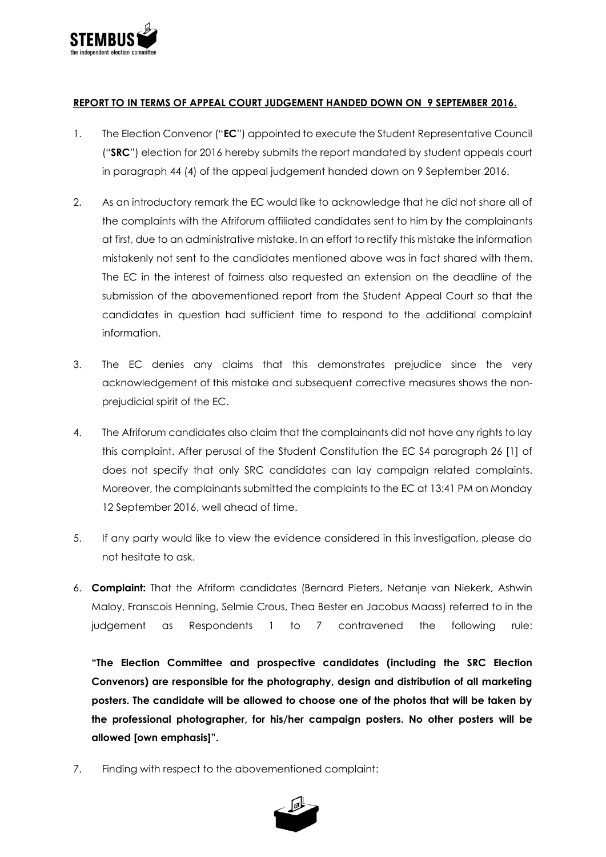

## **REPORT TO IN TERMS OF APPEAL COURT JUDGEMENT HANDED DOWN ON 9 SEPTEMBER 2016.**

- 1. The Election Convenor ("**EC**") appointed to execute the Student Representative Council ("**SRC**") election for 2016 hereby submits the report mandated by student appeals court in paragraph 44 (4) of the appeal judgement handed down on 9 September 2016.
- 2. As an introductory remark the EC would like to acknowledge that he did not share all of the complaints with the Afriforum affiliated candidates sent to him by the complainants at first, due to an administrative mistake. In an effort to rectify this mistake the information mistakenly not sent to the candidates mentioned above was in fact shared with them. The EC in the interest of fairness also requested an extension on the deadline of the submission of the abovementioned report from the Student Appeal Court so that the candidates in question had sufficient time to respond to the additional complaint information.
- 3. The EC denies any claims that this demonstrates prejudice since the very acknowledgement of this mistake and subsequent corrective measures shows the nonprejudicial spirit of the EC.
- 4. The Afriforum candidates also claim that the complainants did not have any rights to lay this complaint. After perusal of the Student Constitution the EC S4 paragraph 26 [1] of does not specify that only SRC candidates can lay campaign related complaints. Moreover, the complainants submitted the complaints to the EC at 13:41 PM on Monday 12 September 2016, well ahead of time.
- 5. If any party would like to view the evidence considered in this investigation, please do not hesitate to ask.
- 6. **Complaint:** That the Afriform candidates (Bernard Pieters, Netanje van Niekerk, Ashwin Maloy, Franscois Henning, Selmie Crous, Thea Bester en Jacobus Maass) referred to in the judgement as Respondents 1 to 7 contravened the following rule:

**"The Election Committee and prospective candidates (including the SRC Election Convenors) are responsible for the photography, design and distribution of all marketing posters. The candidate will be allowed to choose one of the photos that will be taken by the professional photographer, for his/her campaign posters. No other posters will be allowed [own emphasis]".**

7. Finding with respect to the abovementioned complaint:

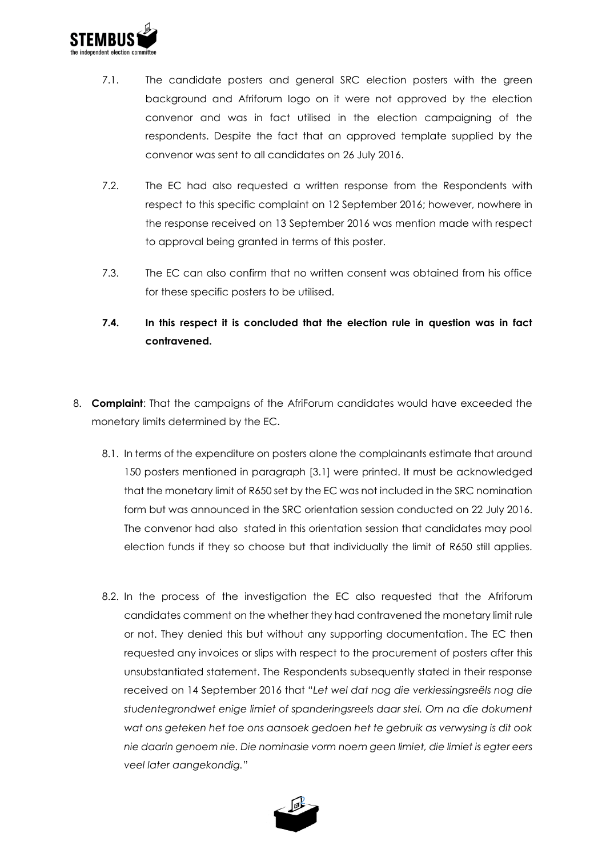

- 7.1. The candidate posters and general SRC election posters with the green background and Afriforum logo on it were not approved by the election convenor and was in fact utilised in the election campaigning of the respondents. Despite the fact that an approved template supplied by the convenor was sent to all candidates on 26 July 2016.
- 7.2. The EC had also requested a written response from the Respondents with respect to this specific complaint on 12 September 2016; however, nowhere in the response received on 13 September 2016 was mention made with respect to approval being granted in terms of this poster.
- 7.3. The EC can also confirm that no written consent was obtained from his office for these specific posters to be utilised.
- **7.4. In this respect it is concluded that the election rule in question was in fact contravened.**
- 8. **Complaint**: That the campaigns of the AfriForum candidates would have exceeded the monetary limits determined by the EC.
	- 8.1. In terms of the expenditure on posters alone the complainants estimate that around 150 posters mentioned in paragraph [3.1] were printed. It must be acknowledged that the monetary limit of R650 set by the EC was not included in the SRC nomination form but was announced in the SRC orientation session conducted on 22 July 2016. The convenor had also stated in this orientation session that candidates may pool election funds if they so choose but that individually the limit of R650 still applies.
	- 8.2. In the process of the investigation the EC also requested that the Afriforum candidates comment on the whether they had contravened the monetary limit rule or not. They denied this but without any supporting documentation. The EC then requested any invoices or slips with respect to the procurement of posters after this unsubstantiated statement. The Respondents subsequently stated in their response received on 14 September 2016 that "*Let wel dat nog die verkiessingsreëls nog die studentegrondwet enige limiet of spanderingsreels daar stel. Om na die dokument wat ons geteken het toe ons aansoek gedoen het te gebruik as verwysing is dit ook nie daarin genoem nie. Die nominasie vorm noem geen limiet, die limiet is egter eers veel later aangekondig.*"

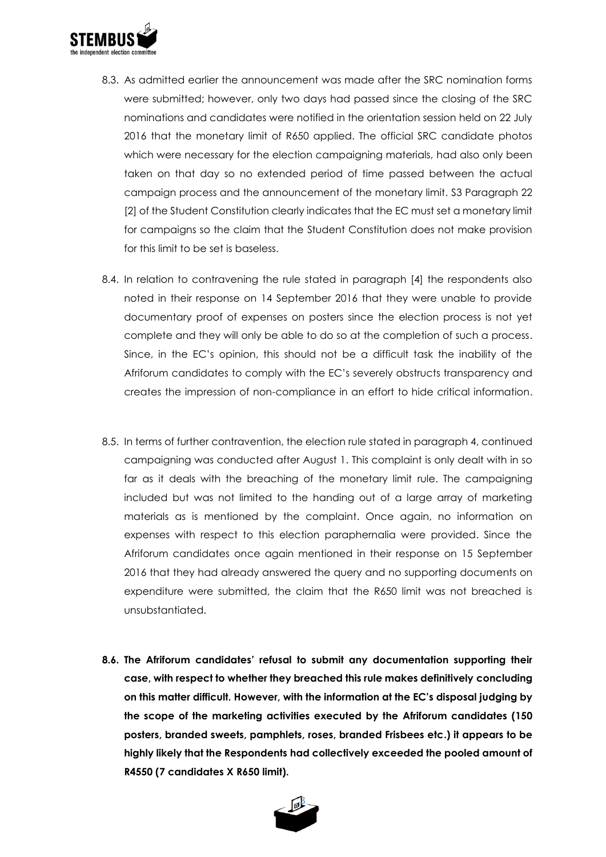

- 8.3. As admitted earlier the announcement was made after the SRC nomination forms were submitted; however, only two days had passed since the closing of the SRC nominations and candidates were notified in the orientation session held on 22 July 2016 that the monetary limit of R650 applied. The official SRC candidate photos which were necessary for the election campaigning materials, had also only been taken on that day so no extended period of time passed between the actual campaign process and the announcement of the monetary limit. S3 Paragraph 22 [2] of the Student Constitution clearly indicates that the EC must set a monetary limit for campaigns so the claim that the Student Constitution does not make provision for this limit to be set is baseless.
- 8.4. In relation to contravening the rule stated in paragraph [4] the respondents also noted in their response on 14 September 2016 that they were unable to provide documentary proof of expenses on posters since the election process is not yet complete and they will only be able to do so at the completion of such a process. Since, in the EC's opinion, this should not be a difficult task the inability of the Afriforum candidates to comply with the EC's severely obstructs transparency and creates the impression of non-compliance in an effort to hide critical information.
- 8.5. In terms of further contravention, the election rule stated in paragraph 4, continued campaigning was conducted after August 1. This complaint is only dealt with in so far as it deals with the breaching of the monetary limit rule. The campaigning included but was not limited to the handing out of a large array of marketing materials as is mentioned by the complaint. Once again, no information on expenses with respect to this election paraphernalia were provided. Since the Afriforum candidates once again mentioned in their response on 15 September 2016 that they had already answered the query and no supporting documents on expenditure were submitted, the claim that the R650 limit was not breached is unsubstantiated.
- **8.6. The Afriforum candidates' refusal to submit any documentation supporting their case, with respect to whether they breached this rule makes definitively concluding on this matter difficult. However, with the information at the EC's disposal judging by the scope of the marketing activities executed by the Afriforum candidates (150 posters, branded sweets, pamphlets, roses, branded Frisbees etc.) it appears to be highly likely that the Respondents had collectively exceeded the pooled amount of R4550 (7 candidates X R650 limit).**

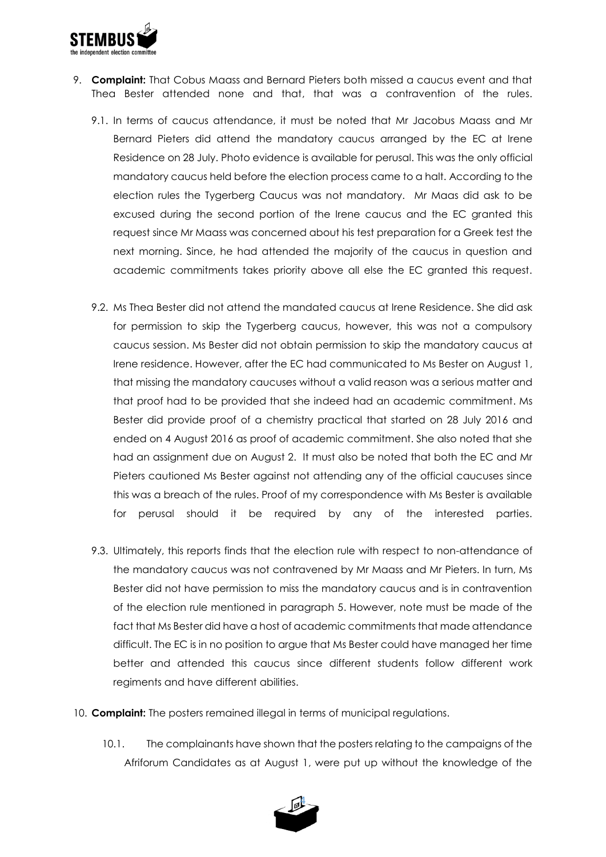

- 9. **Complaint:** That Cobus Maass and Bernard Pieters both missed a caucus event and that Thea Bester attended none and that, that was a contravention of the rules.
	- 9.1. In terms of caucus attendance, it must be noted that Mr Jacobus Maass and Mr Bernard Pieters did attend the mandatory caucus arranged by the EC at Irene Residence on 28 July. Photo evidence is available for perusal. This was the only official mandatory caucus held before the election process came to a halt. According to the election rules the Tygerberg Caucus was not mandatory. Mr Maas did ask to be excused during the second portion of the Irene caucus and the EC granted this request since Mr Maass was concerned about his test preparation for a Greek test the next morning. Since, he had attended the majority of the caucus in question and academic commitments takes priority above all else the EC granted this request.
	- 9.2. Ms Thea Bester did not attend the mandated caucus at Irene Residence. She did ask for permission to skip the Tygerberg caucus, however, this was not a compulsory caucus session. Ms Bester did not obtain permission to skip the mandatory caucus at Irene residence. However, after the EC had communicated to Ms Bester on August 1, that missing the mandatory caucuses without a valid reason was a serious matter and that proof had to be provided that she indeed had an academic commitment. Ms Bester did provide proof of a chemistry practical that started on 28 July 2016 and ended on 4 August 2016 as proof of academic commitment. She also noted that she had an assignment due on August 2. It must also be noted that both the EC and Mr Pieters cautioned Ms Bester against not attending any of the official caucuses since this was a breach of the rules. Proof of my correspondence with Ms Bester is available for perusal should it be required by any of the interested parties.
	- 9.3. Ultimately, this reports finds that the election rule with respect to non-attendance of the mandatory caucus was not contravened by Mr Maass and Mr Pieters. In turn, Ms Bester did not have permission to miss the mandatory caucus and is in contravention of the election rule mentioned in paragraph 5. However, note must be made of the fact that Ms Bester did have a host of academic commitments that made attendance difficult. The EC is in no position to argue that Ms Bester could have managed her time better and attended this caucus since different students follow different work regiments and have different abilities.
- 10. **Complaint:** The posters remained illegal in terms of municipal regulations.
	- 10.1. The complainants have shown that the posters relating to the campaigns of the Afriforum Candidates as at August 1, were put up without the knowledge of the

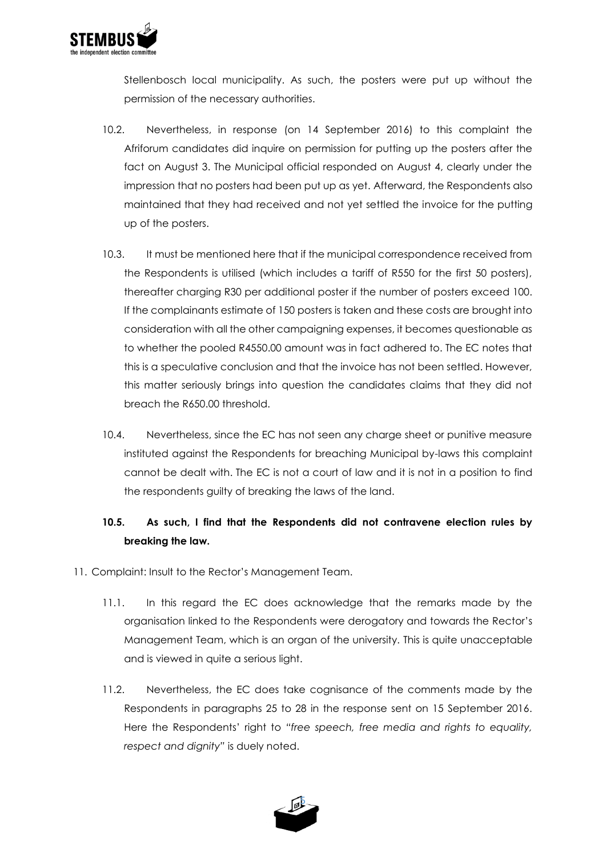

Stellenbosch local municipality. As such, the posters were put up without the permission of the necessary authorities.

- 10.2. Nevertheless, in response (on 14 September 2016) to this complaint the Afriforum candidates did inquire on permission for putting up the posters after the fact on August 3. The Municipal official responded on August 4, clearly under the impression that no posters had been put up as yet. Afterward, the Respondents also maintained that they had received and not yet settled the invoice for the putting up of the posters.
- 10.3. It must be mentioned here that if the municipal correspondence received from the Respondents is utilised (which includes a tariff of R550 for the first 50 posters), thereafter charging R30 per additional poster if the number of posters exceed 100. If the complainants estimate of 150 posters is taken and these costs are brought into consideration with all the other campaigning expenses, it becomes questionable as to whether the pooled R4550.00 amount was in fact adhered to. The EC notes that this is a speculative conclusion and that the invoice has not been settled. However, this matter seriously brings into question the candidates claims that they did not breach the R650.00 threshold.
- 10.4. Nevertheless, since the EC has not seen any charge sheet or punitive measure instituted against the Respondents for breaching Municipal by-laws this complaint cannot be dealt with. The EC is not a court of law and it is not in a position to find the respondents guilty of breaking the laws of the land.

## **10.5. As such, I find that the Respondents did not contravene election rules by breaking the law.**

- 11. Complaint: Insult to the Rector's Management Team.
	- 11.1. In this regard the EC does acknowledge that the remarks made by the organisation linked to the Respondents were derogatory and towards the Rector's Management Team, which is an organ of the university. This is quite unacceptable and is viewed in quite a serious light.
	- 11.2. Nevertheless, the EC does take cognisance of the comments made by the Respondents in paragraphs 25 to 28 in the response sent on 15 September 2016. Here the Respondents' right to *"free speech, free media and rights to equality, respect and dignity"* is duely noted.

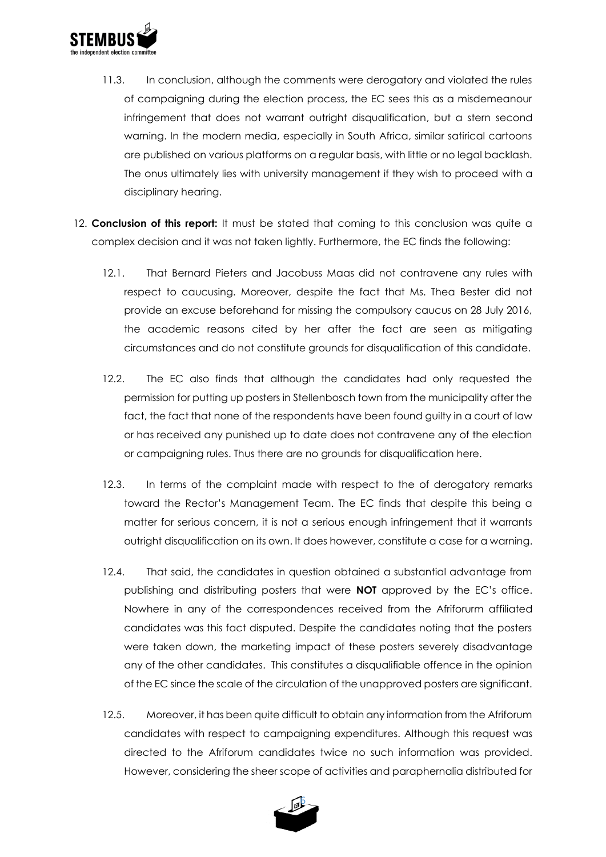

- 11.3. In conclusion, although the comments were derogatory and violated the rules of campaigning during the election process, the EC sees this as a misdemeanour infringement that does not warrant outright disqualification, but a stern second warning. In the modern media, especially in South Africa, similar satirical cartoons are published on various platforms on a regular basis, with little or no legal backlash. The onus ultimately lies with university management if they wish to proceed with a disciplinary hearing.
- 12. **Conclusion of this report:** It must be stated that coming to this conclusion was quite a complex decision and it was not taken lightly. Furthermore, the EC finds the following:
	- 12.1. That Bernard Pieters and Jacobuss Maas did not contravene any rules with respect to caucusing. Moreover, despite the fact that Ms. Thea Bester did not provide an excuse beforehand for missing the compulsory caucus on 28 July 2016, the academic reasons cited by her after the fact are seen as mitigating circumstances and do not constitute grounds for disqualification of this candidate.
	- 12.2. The EC also finds that although the candidates had only requested the permission for putting up posters in Stellenbosch town from the municipality after the fact, the fact that none of the respondents have been found guilty in a court of law or has received any punished up to date does not contravene any of the election or campaigning rules. Thus there are no grounds for disqualification here.
	- 12.3. In terms of the complaint made with respect to the of derogatory remarks toward the Rector's Management Team. The EC finds that despite this being a matter for serious concern, it is not a serious enough infringement that it warrants outright disqualification on its own. It does however, constitute a case for a warning.
	- 12.4. That said, the candidates in question obtained a substantial advantage from publishing and distributing posters that were **NOT** approved by the EC's office. Nowhere in any of the correspondences received from the Afriforurm affiliated candidates was this fact disputed. Despite the candidates noting that the posters were taken down, the marketing impact of these posters severely disadvantage any of the other candidates. This constitutes a disqualifiable offence in the opinion of the EC since the scale of the circulation of the unapproved posters are significant.
	- 12.5. Moreover, it has been quite difficult to obtain any information from the Afriforum candidates with respect to campaigning expenditures. Although this request was directed to the Afriforum candidates twice no such information was provided. However, considering the sheer scope of activities and paraphernalia distributed for